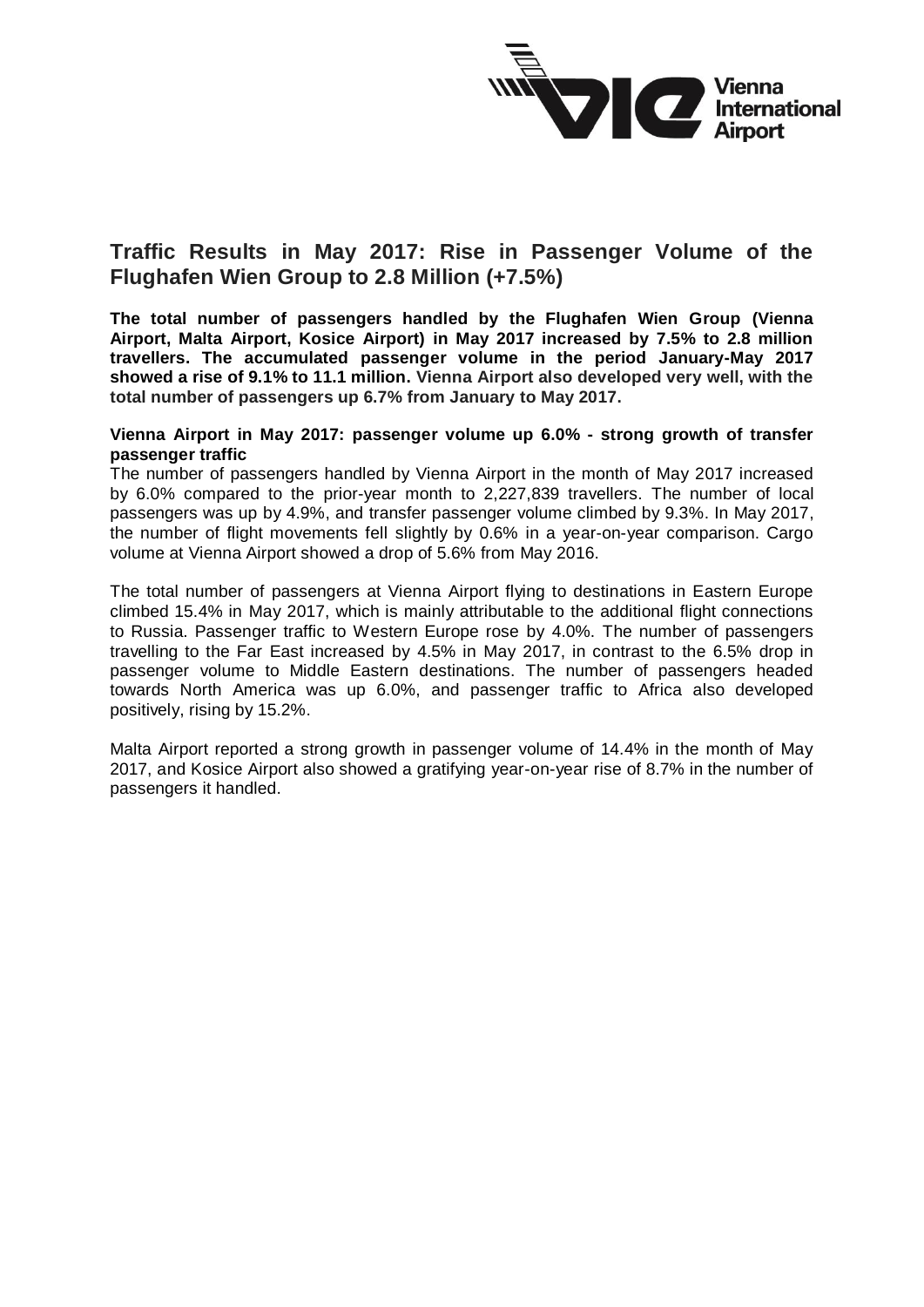

## **Traffic Results in May 2017: Rise in Passenger Volume of the Flughafen Wien Group to 2.8 Million (+7.5%)**

**The total number of passengers handled by the Flughafen Wien Group (Vienna Airport, Malta Airport, Kosice Airport) in May 2017 increased by 7.5% to 2.8 million travellers. The accumulated passenger volume in the period January-May 2017 showed a rise of 9.1% to 11.1 million. Vienna Airport also developed very well, with the total number of passengers up 6.7% from January to May 2017.**

## **Vienna Airport in May 2017: passenger volume up 6.0% - strong growth of transfer passenger traffic**

The number of passengers handled by Vienna Airport in the month of May 2017 increased by 6.0% compared to the prior-year month to 2,227,839 travellers. The number of local passengers was up by 4.9%, and transfer passenger volume climbed by 9.3%. In May 2017, the number of flight movements fell slightly by 0.6% in a year-on-year comparison. Cargo volume at Vienna Airport showed a drop of 5.6% from May 2016.

The total number of passengers at Vienna Airport flying to destinations in Eastern Europe climbed 15.4% in May 2017, which is mainly attributable to the additional flight connections to Russia. Passenger traffic to Western Europe rose by 4.0%. The number of passengers travelling to the Far East increased by 4.5% in May 2017, in contrast to the 6.5% drop in passenger volume to Middle Eastern destinations. The number of passengers headed towards North America was up 6.0%, and passenger traffic to Africa also developed positively, rising by 15.2%.

Malta Airport reported a strong growth in passenger volume of 14.4% in the month of May 2017, and Kosice Airport also showed a gratifying year-on-year rise of 8.7% in the number of passengers it handled.